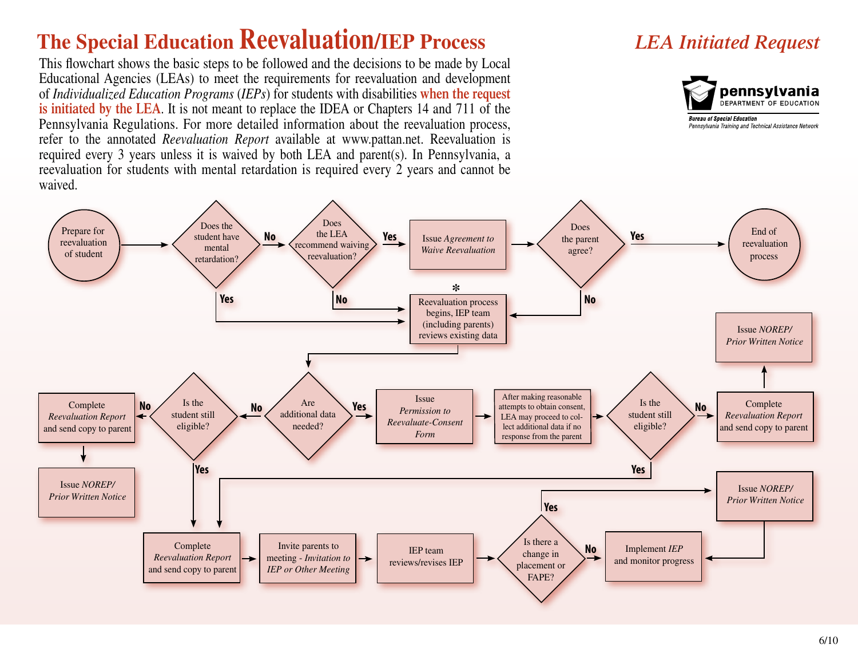## **The Special Education Reevaluation/IEP Process**

This flowchart shows the basic steps to be followed and the decisions to be made by Local Educational Agencies (LEAs) to meet the requirements for reevaluation and development of *Individualized Education Programs* (*IEPs*) for students with disabilities **when the request is initiated by the LEA**. It is not meant to replace the IDEA or Chapters 14 and 711 of the Pennsylvania Regulations. For more detailed information about the reevaluation process, refer to the annotated *Reevaluation Report* available at www.pattan.net. Reevaluation is required every 3 years unless it is waived by both LEA and parent(s). In Pennsylvania, a reevaluation for students with mental retardation is required every 2 years and cannot be waived.

## *LEA Initiated Request*



**Bureau of Special Education** Pennsylvania Training and Technical Assistance Network